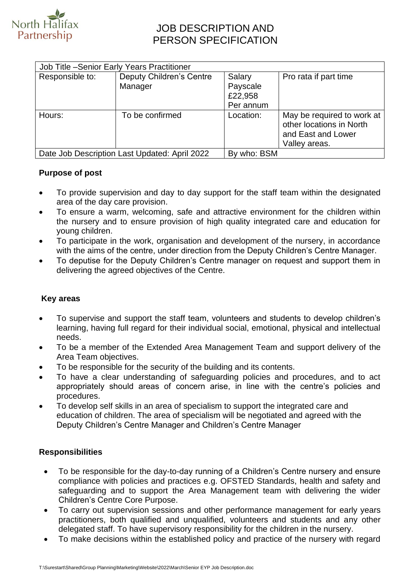

# JOB DESCRIPTION AND PERSON SPECIFICATION

| Responsible to: | <b>Deputy Children's Centre</b><br>Manager | Salary<br>Payscale<br>£22,958<br>Per annum | Pro rata if part time                                                                         |
|-----------------|--------------------------------------------|--------------------------------------------|-----------------------------------------------------------------------------------------------|
| Hours:          | To be confirmed                            | Location:                                  | May be required to work at<br>other locations in North<br>and East and Lower<br>Valley areas. |

### **Purpose of post**

- To provide supervision and day to day support for the staff team within the designated area of the day care provision.
- To ensure a warm, welcoming, safe and attractive environment for the children within the nursery and to ensure provision of high quality integrated care and education for young children.
- To participate in the work, organisation and development of the nursery, in accordance with the aims of the centre, under direction from the Deputy Children's Centre Manager.
- To deputise for the Deputy Children's Centre manager on request and support them in delivering the agreed objectives of the Centre.

## **Key areas**

- To supervise and support the staff team, volunteers and students to develop children's learning, having full regard for their individual social, emotional, physical and intellectual needs.
- To be a member of the Extended Area Management Team and support delivery of the Area Team objectives.
- To be responsible for the security of the building and its contents.
- To have a clear understanding of safeguarding policies and procedures, and to act appropriately should areas of concern arise, in line with the centre's policies and procedures.
- To develop self skills in an area of specialism to support the integrated care and education of children. The area of specialism will be negotiated and agreed with the Deputy Children's Centre Manager and Children's Centre Manager

#### **Responsibilities**

- To be responsible for the day-to-day running of a Children's Centre nursery and ensure compliance with policies and practices e.g. OFSTED Standards, health and safety and safeguarding and to support the Area Management team with delivering the wider Children's Centre Core Purpose.
- To carry out supervision sessions and other performance management for early years practitioners, both qualified and unqualified, volunteers and students and any other delegated staff. To have supervisory responsibility for the children in the nursery.
- To make decisions within the established policy and practice of the nursery with regard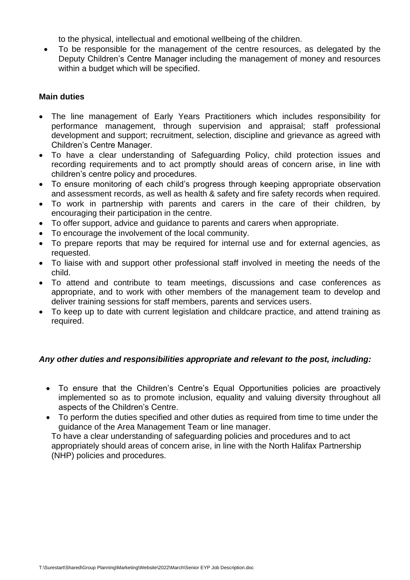to the physical, intellectual and emotional wellbeing of the children.

• To be responsible for the management of the centre resources, as delegated by the Deputy Children's Centre Manager including the management of money and resources within a budget which will be specified.

#### **Main duties**

- The line management of Early Years Practitioners which includes responsibility for performance management, through supervision and appraisal; staff professional development and support; recruitment, selection, discipline and grievance as agreed with Children's Centre Manager.
- To have a clear understanding of Safeguarding Policy, child protection issues and recording requirements and to act promptly should areas of concern arise, in line with children's centre policy and procedures.
- To ensure monitoring of each child's progress through keeping appropriate observation and assessment records, as well as health & safety and fire safety records when required.
- To work in partnership with parents and carers in the care of their children, by encouraging their participation in the centre.
- To offer support, advice and guidance to parents and carers when appropriate.
- To encourage the involvement of the local community.
- To prepare reports that may be required for internal use and for external agencies, as requested.
- To liaise with and support other professional staff involved in meeting the needs of the child.
- To attend and contribute to team meetings, discussions and case conferences as appropriate, and to work with other members of the management team to develop and deliver training sessions for staff members, parents and services users.
- To keep up to date with current legislation and childcare practice, and attend training as required.

#### *Any other duties and responsibilities appropriate and relevant to the post, including:*

- To ensure that the Children's Centre's Equal Opportunities policies are proactively implemented so as to promote inclusion, equality and valuing diversity throughout all aspects of the Children's Centre.
- To perform the duties specified and other duties as required from time to time under the guidance of the Area Management Team or line manager.

To have a clear understanding of safeguarding policies and procedures and to act appropriately should areas of concern arise, in line with the North Halifax Partnership (NHP) policies and procedures.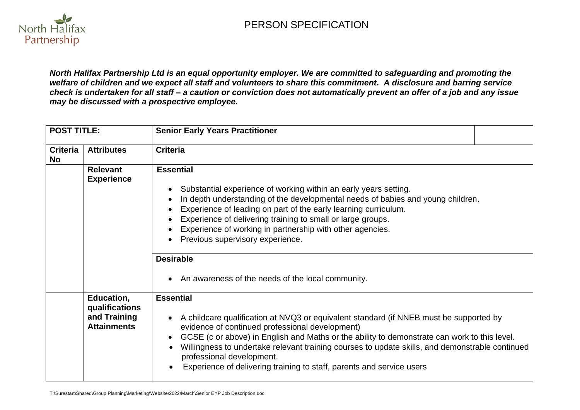

*North Halifax Partnership Ltd is an equal opportunity employer. We are committed to safeguarding and promoting the welfare of children and we expect all staff and volunteers to share this commitment. A disclosure and barring service check is undertaken for all staff – a caution or conviction does not automatically prevent an offer of a job and any issue may be discussed with a prospective employee.*

| <b>POST TITLE:</b>           |                                                                    | <b>Senior Early Years Practitioner</b>                                                                                                                                                                                                                                                                                                                                                                                                                                                |
|------------------------------|--------------------------------------------------------------------|---------------------------------------------------------------------------------------------------------------------------------------------------------------------------------------------------------------------------------------------------------------------------------------------------------------------------------------------------------------------------------------------------------------------------------------------------------------------------------------|
| <b>Criteria</b><br><b>No</b> | <b>Attributes</b>                                                  | <b>Criteria</b>                                                                                                                                                                                                                                                                                                                                                                                                                                                                       |
|                              | <b>Relevant</b><br><b>Experience</b>                               | <b>Essential</b><br>Substantial experience of working within an early years setting.<br>In depth understanding of the developmental needs of babies and young children.<br>Experience of leading on part of the early learning curriculum.<br>Experience of delivering training to small or large groups.<br>Experience of working in partnership with other agencies.<br>Previous supervisory experience.<br><b>Desirable</b><br>• An awareness of the needs of the local community. |
|                              | Education,<br>qualifications<br>and Training<br><b>Attainments</b> | <b>Essential</b><br>A childcare qualification at NVQ3 or equivalent standard (if NNEB must be supported by<br>evidence of continued professional development)<br>GCSE (c or above) in English and Maths or the ability to demonstrate can work to this level.<br>Willingness to undertake relevant training courses to update skills, and demonstrable continued<br>professional development.<br>Experience of delivering training to staff, parents and service users                |